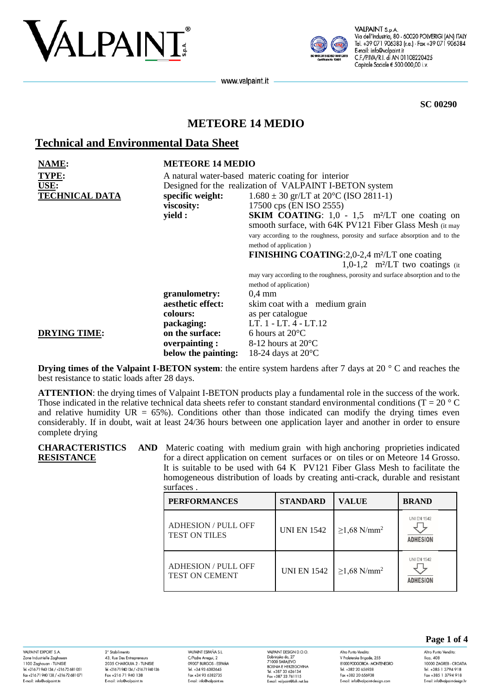



VALPAINT S.p.A Via dell'Industria, 80 - 60020 POLVERIGI (AN) ITALY Tel. +39 071 906383 (r.a.) - Fax +39 071 906384 E-mail: info@valpaint.it C.F./P.IVA/R.I. di AN 01108220425 Capitale Sociale € 500.000,00 i.v.

www.valpaint.it

**SC 00290**

# **METEORE 14 MEDIO**

## **Technical and Environmental Data Sheet**

| NAME:<br>TYPE:        | <b>METEORE 14 MEDIO</b><br>A natural water-based materic coating for interior |                                                                                 |  |  |
|-----------------------|-------------------------------------------------------------------------------|---------------------------------------------------------------------------------|--|--|
| USE:                  | Designed for the realization of VALPAINT I-BETON system                       |                                                                                 |  |  |
| <b>TECHNICAL DATA</b> | specific weight:                                                              | $1.680 \pm 30$ gr/LT at 20 <sup>o</sup> C (ISO 2811-1)                          |  |  |
|                       | viscosity:                                                                    | 17500 cps (EN ISO 2555)                                                         |  |  |
|                       | yield :                                                                       | <b>SKIM COATING:</b> 1,0 - 1,5 m <sup>2</sup> /LT one coating on                |  |  |
|                       |                                                                               | smooth surface, with 64K PV121 Fiber Glass Mesh (it may                         |  |  |
|                       |                                                                               | vary according to the roughness, porosity and surface absorption and to the     |  |  |
|                       |                                                                               | method of application)                                                          |  |  |
|                       |                                                                               | <b>FINISHING COATING</b> :2,0-2,4 m <sup>2</sup> /LT one coating                |  |  |
|                       |                                                                               | 1,0-1,2 m <sup>2</sup> /LT two coatings $(ii$                                   |  |  |
|                       |                                                                               | may vary according to the roughness, porosity and surface absorption and to the |  |  |
|                       |                                                                               | method of application)                                                          |  |  |
|                       | granulometry:                                                                 | $0.4 \text{ mm}$                                                                |  |  |
|                       | aesthetic effect:                                                             | skim coat with a medium grain                                                   |  |  |
|                       | colours:                                                                      | as per catalogue                                                                |  |  |
|                       | packaging:                                                                    | LT. 1 - LT. 4 - LT.12                                                           |  |  |
| <b>DRYING TIME:</b>   | on the surface:                                                               | 6 hours at $20^{\circ}$ C                                                       |  |  |
|                       | overpainting:                                                                 | 8-12 hours at $20^{\circ}$ C                                                    |  |  |
|                       | below the painting:                                                           | 18-24 days at $20^{\circ}$ C                                                    |  |  |

**Drying times of the Valpaint I-BETON system**: the entire system hardens after 7 days at 20 ° C and reaches the best resistance to static loads after 28 days.

**ATTENTION**: the drying times of Valpaint I-BETON products play a fundamental role in the success of the work. Those indicated in the relative technical data sheets refer to constant standard environmental conditions ( $T = 20^{\circ}$ C) and relative humidity  $UR = 65\%$ ). Conditions other than those indicated can modify the drying times even considerably. If in doubt, wait at least 24/36 hours between one application layer and another in order to ensure complete drying

#### **CHARACTERISTICS RESISTANCE**

AND Materic coating with medium grain with high anchoring proprieties indicated for a direct application on cement surfaces or on tiles or on Meteore 14 Grosso. It is suitable to be used with 64 K PV121 Fiber Glass Mesh to facilitate the homogeneous distribution of loads by creating anti-crack, durable and resistant surfaces .

| <b>PERFORMANCES</b>                                 | <b>STANDARD</b>    | <b>VALUE</b>                  | <b>BRAND</b>                          |
|-----------------------------------------------------|--------------------|-------------------------------|---------------------------------------|
| <b>ADHESION/PULL OFF</b><br><b>TEST ON TILES</b>    | <b>UNI EN 1542</b> | $\geq$ 1,68 N/mm <sup>2</sup> | <b>UNI EN 1542</b><br><b>ADHESION</b> |
| <b>ADHESION / PULL OFF</b><br><b>TEST ON CEMENT</b> | <b>UNI EN 1542</b> | $\geq$ 1,68 N/mm <sup>2</sup> | <b>UNI EN 1542</b><br><b>ADHESION</b> |

VAI PAINIT EYPORT & A Zone Industrielle Zaghoua 1100 Zaghouan - TUNISIE Thuo Zagnoban - Torvisic<br>Tel. +216 71 940 134 / +216 72 681 051 Fax +216 71 940 138 / +216 72 681 071 E-mail: info@valpaint.tn

2° Stabilimento 43, Rue Des Entrepreneurs 2035 CHARGUIA 2 - TUNISIE Tel. +21671 940 134 / +21671 940 136 Fax +216 71 940 138 E-mail: info@valpaint.tn

VAIRAINT ESPAÑA S I C/Padre Arregui, 2 OOOOZ BIJDCOS ESDAÑA Tel. +34 93 6382645 rel. +34 73 0362043<br>Fax +34 93 6382735 E-mail: info@valpaint.es

VAIRAINT DESIGN D O O VALPAINT DESIGN D.O.O.<br>Dobrinjska do, 27<br>71000 SARAJEVO<br>BOSNIA E HERZEGOVINA Tel. +387 33 626134 Fax +387 33 761115 E-mail: valpaint@bih.net.bo

Altro Punto Vendita V Proleterske Brigade, 255 **RIOO BODGORCA - MONTENEGRO** Tel. +382 20 656938 Fax +382 20 656938 E-mail: info@valpaint-design.com

**Page 1 of 4**

Altro Punto Vendito Ilica, 408 10000 ZAGRER - CROATIA Tel. +385 1 3794 918 Fax +385 1 3794 918 E-mail: info@valpaint-desian.hr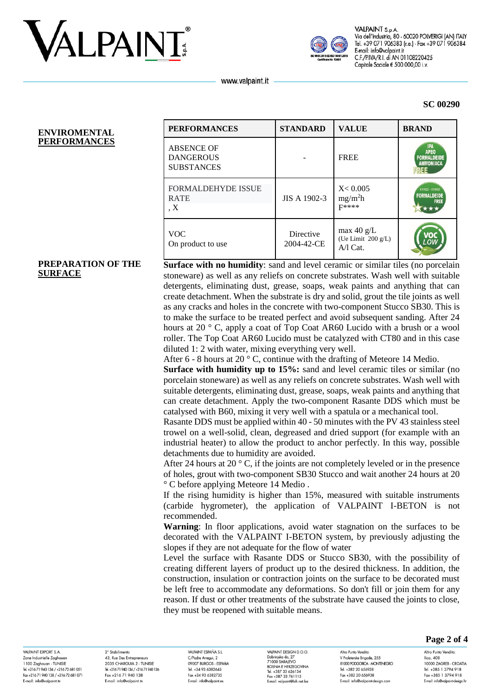



VALPAINT S.p.A Via dell'Industria, 80 - 60020 POLVERIGI (AN) ITALY Tel. +39 071 906383 (r.a.) - Fax +39 071 906384 E-mail: info@valpaint.it C.F./P.IVA/R.I. di AN 01108220425 Capitale Sociale € 500.000,00 i.v.

www.valpaint.it

#### **SC 00290**

#### **ENVIROMENTAL PERFORMANCES**

| <b>PERFORMANCES</b>                                        | <b>STANDARD</b>         | <b>VALUE</b>                                     | <b>BRAND</b>                                                 |
|------------------------------------------------------------|-------------------------|--------------------------------------------------|--------------------------------------------------------------|
| <b>ABSENCE OF</b><br><b>DANGEROUS</b><br><b>SUBSTANCES</b> |                         | <b>FREE</b>                                      | IPA<br><b>APEO</b><br><b>FORMALDEIDE</b><br><b>AMMONIACA</b> |
| <b>FORMALDEHYDE ISSUE</b><br><b>RATE</b><br>$\overline{X}$ | JIS A 1902-3            | X < 0.005<br>mg/m <sup>2</sup> h<br><b>F****</b> | K09025 - K09026<br><b>FORMALDEIDE</b><br><b>FREE</b>         |
| <b>VOC</b><br>On product to use                            | Directive<br>2004-42-CE | max $40 g/L$<br>(Ue Limit 200 g/L)<br>$A/I$ Cat. |                                                              |

#### **PREPARATION OF THE SURFACE**

**Surface with no humidity:** sand and level ceramic or similar tiles (no porcelain stoneware) as well as any reliefs on concrete substrates. Wash well with suitable detergents, eliminating dust, grease, soaps, weak paints and anything that can create detachment. When the substrate is dry and solid, grout the tile joints as well as any cracks and holes in the concrete with two-component Stucco SB30. This is to make the surface to be treated perfect and avoid subsequent sanding. After 24 hours at 20 ° C, apply a coat of Top Coat AR60 Lucido with a brush or a wool roller. The Top Coat AR60 Lucido must be catalyzed with CT80 and in this case diluted 1: 2 with water, mixing everything very well.

After 6 - 8 hours at 20 ° C, continue with the drafting of Meteore 14 Medio.

**Surface with humidity up to 15%:** sand and level ceramic tiles or similar (no porcelain stoneware) as well as any reliefs on concrete substrates. Wash well with suitable detergents, eliminating dust, grease, soaps, weak paints and anything that can create detachment. Apply the two-component Rasante DDS which must be catalysed with B60, mixing it very well with a spatula or a mechanical tool.

Rasante DDS must be applied within 40 - 50 minutes with the PV 43 stainless steel trowel on a well-solid, clean, degreased and dried support (for example with an industrial heater) to allow the product to anchor perfectly. In this way, possible detachments due to humidity are avoided.

After 24 hours at 20  $\degree$  C, if the joints are not completely leveled or in the presence of holes, grout with two-component SB30 Stucco and wait another 24 hours at 20 ° C before applying Meteore 14 Medio .

If the rising humidity is higher than 15%, measured with suitable instruments (carbide hygrometer), the application of VALPAINT I-BETON is not recommended.

**Warning**: In floor applications, avoid water stagnation on the surfaces to be decorated with the VALPAINT I-BETON system, by previously adjusting the slopes if they are not adequate for the flow of water

Level the surface with Rasante DDS or Stucco SB30, with the possibility of creating different layers of product up to the desired thickness. In addition, the construction, insulation or contraction joints on the surface to be decorated must be left free to accommodate any deformations. So don't fill or join them for any reason. If dust or other treatments of the substrate have caused the joints to close, they must be reopened with suitable means.

VAI PAINIT EYPORT & A Zone Industrielle Zaghoud 1100 Zaghouan - TUNISIE Tel. +21671940134/+21672681051 Fax +216 71 940 138 / +216 72 681 071 E-mail: info@valpaint.tr

2° Stabilimento 43, Rue Des Entrepreneurs 2025 CHARCLILA 2 TUNISIE Tel. +21671 940 134 / +21671 940 136 Fax +216 71 940 138 E-mail: info@valpaint.tn

VAIRAINT ESPAÑA S I C/Padre Arregui, 2 OOOOZ BIJDCOS ESDAÑA Tel. +34 93 6382645 Fax +34 93 6382735 E-mail: info@valpaint.es

VAIRAINT DESIGN D O O VALPAINT DESIGN D.O.O.<br>Dobrinjska do, 27<br>71000 SARAJEVO<br>BOSNIA E HERZEGOVINA Tel. +387 33 626134 Fax +387 33 761115 E-mail: valoaint@bib.net ba

Altro Punto Vendita V Proleterske Brigade, 255 **PRODUCED PRODUCT AND THE RECOMMENDED** Tel. +382 20 656938 Fax +382 20 656938 E-mail: info@valpaint-design.com

**Page 2 of 4**

10000 ZAGREB - CROATIA

Tel. +385 1 3794 918

Fax +385 1 3794 918

E-mail: info@valpaint-desian.hr

Altro Punto Vendita:

Ilica, 408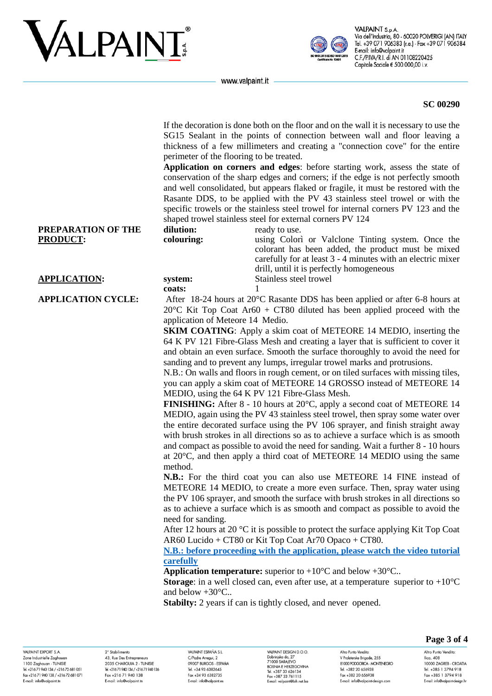# VALPAINT



VALPAINT S.p.A Via dell'Industria, 80 - 60020 POLVERIGI (AN) ITALY Tel. +39 071 906383 (r.a.) - Fax +39 071 906384 E-mail: info@valpaint.it C.F./P.IVA/R.I. di AN 01108220425 Capitale Sociale € 500.000,00 i.v.

www.valpaint.it

**colouring:**

**coats:** 1

If the decoration is done both on the floor and on the wall it is necessary to use the SG15 Sealant in the points of connection between wall and floor leaving a thickness of a few millimeters and creating a "connection cove" for the entire perimeter of the flooring to be treated.

**Application on corners and edges**: before starting work, assess the state of conservation of the sharp edges and corners; if the edge is not perfectly smooth and well consolidated, but appears flaked or fragile, it must be restored with the Rasante DDS, to be applied with the PV 43 stainless steel trowel or with the specific trowels or the stainless steel trowel for internal corners PV 123 and the shaped trowel stainless steel for external corners PV 124 **dilution:** ready to use.

> using Colorì or Valclone Tinting system. Once the colorant has been added, the product must be mixed carefully for at least 3 - 4 minutes with an electric mixer

**PREPARATION OF THE PRODUCT:**

#### **APPLICATION: system:** Stainless steel trowel

**APPLICATION CYCLE:** After 18-24 hours at 20°C Rasante DDS has been applied or after 6-8 hours at 20 $\degree$ C Kit Top Coat Ar60 + CT80 diluted has been applied proceed with the application of Meteore 14 Medio.

drill, until it is perfectly homogeneous

**SKIM COATING:** Apply a skim coat of METEORE 14 MEDIO, inserting the 64 K PV 121 Fibre-Glass Mesh and creating a layer that is sufficient to cover it and obtain an even surface. Smooth the surface thoroughly to avoid the need for sanding and to prevent any lumps, irregular trowel marks and protrusions.

N.B.: On walls and floors in rough cement, or on tiled surfaces with missing tiles, you can apply a skim coat of METEORE 14 GROSSO instead of METEORE 14 MEDIO, using the 64 K PV 121 Fibre-Glass Mesh.

**FINISHING:** After 8 - 10 hours at 20 $^{\circ}$ C, apply a second coat of METEORE 14 MEDIO, again using the PV 43 stainless steel trowel, then spray some water over the entire decorated surface using the PV 106 sprayer, and finish straight away with brush strokes in all directions so as to achieve a surface which is as smooth and compact as possible to avoid the need for sanding. Wait a further 8 - 10 hours at 20°C, and then apply a third coat of METEORE 14 MEDIO using the same method.

**N.B.:** For the third coat you can also use METEORE 14 FINE instead of METEORE 14 MEDIO, to create a more even surface. Then, spray water using the PV 106 sprayer, and smooth the surface with brush strokes in all directions so as to achieve a surface which is as smooth and compact as possible to avoid the need for sanding.

After 12 hours at 20 °C it is possible to protect the surface applying Kit Top Coat AR60 Lucido + CT80 or Kit Top Coat Ar70 Opaco + CT80.

### **[N.B.: before proceeding with the application, please watch the video tutorial](https://www.valpaint.it/it/i-beton-official-video/)  [carefully](https://www.valpaint.it/it/i-beton-official-video/)**

**Application temperature:** superior to  $+10^{\circ}$ C and below  $+30^{\circ}$ C...

**Storage:** in a well closed can, even after use, at a temperature superior to  $+10^{\circ}$ C and below +30°C..

**Stabilty:** 2 years if can is tightly closed, and never opened.

VAI PAINT EYPORT & A Zone Industrielle Zaghoua 1100 Zaghouan - TUNISIE Tel. +21671940134/+21672681051 Fax +216 71 940 138 / +216 72 681 071 E-mail: info@valpaint.tr

2° Stabilimento 43, Rue Des Entrepreneurs 2025 CHARCLILA 2 TUNISIE Tel. +21671 940 134 / +21671 940 136 Fax +216 71 940 138 E-mail: info@valpaint.tn

VAIRAINT ESPAÑA S I C/Padre Arregui, 2 OOOOZ BIJDCOS ESDAÑA Tel. +34 93 6382645 Fax +34 93 6382735 E-mail: info@valpaint.es

VAIRAINT DESIGN D O O VALPAINT DESIGN D.O.O.<br>Dobrinjska do, 27<br>71000 SARAJEVO<br>BOSNIA E HERZEGOVINA Tel. +387 33 626134 Fax +387 33 761115 E-mail: valoaint@bib.net ba

Altro Punto Vendita V Proleterske Brigade, 255 **RIOOD PODGORICA - MONTENEGRO** Tel. +382 20 656938 Fax +382 20 656938 E-mail: info@valpaint-design.com

**Page 3 of 4**

10000 ZAGREB - CROATIA

Tel. +385 1 3794 918

Fax +385 1 3794 918

E-mail: info@valpaint-desian.hr

Altro Punto Vendita:

Ilica, 408